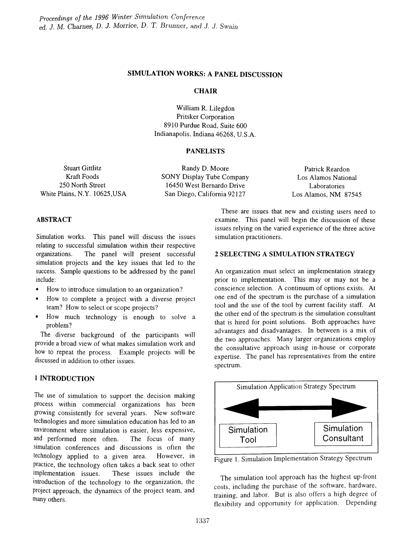## SIMULATION WORKS: A PANEL DISCUSSION

## **CHAIR**

William R. Lilegdon Pritsker Corporation 8910 Purdue Road, Suite 600 Indianapolis, Indiana 46268, U.S.A.

### PANELISTS

Stuart Gittlitz Kraft Foods 250 North Street White Plains, N.Y. 10625,USA

Randy D. Moore SONY Display Tube Company 16450 West Bernardo Drive San Diego, California 92127

Patrick Reardon Los Alamos National Laboratories Los Alamos, NM 87545

## ABSTRACT

Simulation works. This panel will discuss the issues relating to successful simulation within their respective organizations. The panel will present successful simulation projects and the key issues that led to the success. Sample questions to be addressed by the panel include:

- How to introduce simulation to an organization?
- How to complete a project with a diverse project team? How to select or scope projects?
- How much technology is enough to solve a problem?

The diverse background of the participants will provide a broad view of what makes simulation work and how to repeat the process. Example projects will be discussed in addition to other issues.

# 1 INTRODUCTION

The use of simulation to support the decision making process within commercial organizations has been growing consistently for several years. New software technologies and more simulation education has led to an environment where simulation is easier, less expensive, and performed more often. The focus of many simulation conferences and discussions is often the technology applied to a given area. However, in practice, the technology often takes a back seat to other implementation issues. These issues include the introduction of the technology to the organization, the project approach, the dynamics of the project team, and many others.

These are issues that new and existing users need to examine. This panel will begin the discussion of these issues relying on the varied experience of the three active simulation practitioners.

## 2 SELECTING A SIMULATION STRATEGY

An organization must select an implementation strategy prior to implementation. This may or may not be a conscience selection. A continuum of options exists. At one end of the spectrum is the purchase of a simulation tool and the use of the tool by current facility staff. At the other end of the spectrum is the simulation consultant that is hired for point solutions. Both approaches have advantages and disadvantages. In between is a mix of the two approaches. Many larger organizations employ the consultative approach using in-house or corporate expertise. The panel has representatives from the entire spectrum.



Figure 1. Simulation Implementation Strategy Spectrum

The simulation tool approach has the highest up-front costs, including the purchase of the software, hardware, training, and labor. But is also offers a high degree of flexibility and opportunity for application. Depending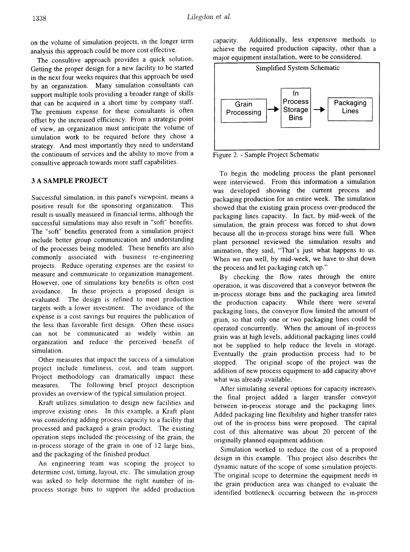on the volume of simulation projects, in the longer term analysis this approach could be more cost effective.

The consultive approach provides a quick solution. Getting the proper design for a new facility to be started in the next four weeks requires that this approach be used by an organization. Many simulation consultants can support multiple tools providing a broader range of skills that can be acquired in a short time by company staff. The premium expense for these consultants is often offset by the increased efficiency. From a strategic point of view, an organization must anticipate the volume of simulation work to be required before they chose a strategy. And most importantly they need to understand the continuum of services and the ability to move from a consultive approach towards more staff capabilities.

#### 3 A SAMPLE PROJECT

Successful simulation, in this panel's viewpoint, means a positive result for the sponsoring organization. This result is usually measured in financial terms, although the successful simulations may also result in "soft" benefits. The "soft" benefits generated from a simulation project include better group communication and understanding of the processes being modeled. These benefits are also commonly associated with business re-engineering projects. Reduce operating expenses are the easiest to measure and communicate to organization management. However, one of simulations key benefits is often cost avoidance. In these projects a proposed design is evaluated. The design is refined to meet production targets with a lower investment. The avoidance of the expense is a cost savings but requires the publication of the less than favorable first design. Often these issues can not be communicated as widely within an organization and reduce the perceived benefit of simulation.

Other measures that impact the success of a simulation project include timeliness, cost, and team support. Project methodology can dramatically impact these measures. The following brief project description provides an overview of the typical simulation project.

Kraft utilizes simulation to design new facilities and improve existing ones. In this example, a Kraft plant was considering adding process capacity to a facility that processed and packaged a grain product. The existing operation steps included the processing of the grain, the in-process storage of the grain in one of 12 large bins, and the packaging of the finished product.

An engineering team was scoping the project to determine cost, timing, layout, etc. The simulation group was asked to help determine the right number of inprocess storage bins to support the added production capacity. Additionally, less expensive methods to achieve the required production capacity, other than a major equipment installation, were to be considered.



Figure 2. - Sample Project Schematic

To begin the modeling process the plant personnel were interviewed. From this information a simulation was developed showing the current process and packaging production for an entire week. The simulation showed that the existing grain process over-produced the packaging lines capacity. In fact, by mid-week of the simulation, the grain process was forced to shut down because all the in-process storage bins were full. When plant personnel reviewed the simulation results and animation, they said, "That's just what happens to us. When we run well, by mid-week, we have to shut down the process and let packaging catch up."

By checking the flow rates through the entire operation, it was discovered that a conveyor between the in-process storage bins and the packaging area limited the production capacity. While there were several packaging lines, the conveyor flow limited the amount of grain, so that only one or two packaging lines could be operated concurrently. When the amount of in-process grain was at high levels, additional packaging lines could not be supplied to help reduce the levels in storage. Eventually the grain production process had to be stopped. The original scope of the project was the addition of new process equipment to add capacity above what was already available.

After simulating several options for capacity increases, the final project added a larger transfer conveyor between in-process storage and the packaging lines. Added packaging line flexibility and higher transfer rates out of the in-process bins were proposed. The capital cost of this alternative was about 20 percent of the originally planned equipment addition.

Simulation worked to reduce the cost of a proposed design in this example. This project also describes the dynamic nature of the scope of some simulation projects. The original scope to determine the equipment needs in the grain production area was changed to evaluate the identified bottleneck occurring between the in-process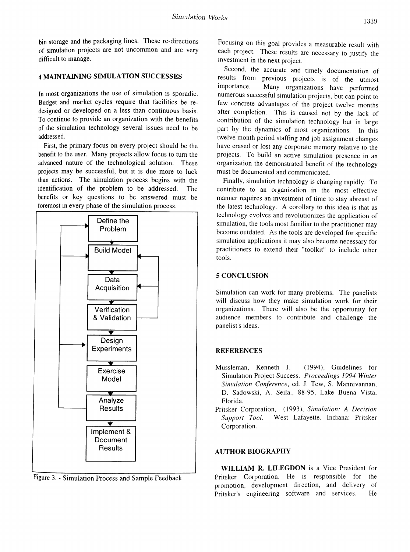bin storage and the packaging lines. These re-directions of simulation projects are not uncommon and are very difficult to manage.

# 4 MAINTAINING SIMULATION SUCCESSES

In most organizations the use of simulation is sporadic. Budget and market cycles require that facilities be redesigned or developed on a less than continuous basis. To continue to provide an organization with the benefits of the simulation technology several issues need to be addressed.

First, the primary focus on every project should be the benefit to the user. Many projects allow focus to turn the advanced nature of the technological solution. These projects may be successful, but it is due more to luck than actions. The simulation process begins with the identification of the problem to be addressed. The benefits or key questions to be answered must be foremost in every phase of the simulation process.



Figure 3. - Simulation Process and Sample Feedback

Focusing on this goal provides a measurable result with each project. These results are necessary to justify the investment in the next project.

Second, the accurate and timely documentation of results from previous projects is of the utmost importance. Many organizations have performed numerous successful simulation projects, but can point to few concrete advantages of the project twelve months after completion. This is caused not by the lack of contribution of the simulation technology but in large part by the dynamics of most organizations. In this twelve month period staffing and job assignment changes have erased or lost any corporate memory relative to the projects. To build an active simulation presence in an organization the demonstrated benefit of the technology must be documented and communicated.

Finally, simulation technology is changing rapidly. To contribute to an organization in the most effective manner requires an investment of time to stay abreast of the latest technology. A corollary to this idea is that as technology evolves and revolutionizes the application of simulation, the tools most familiar to the practitioner may become outdated. As the tools are developed for specific simulation applications it may also become necessary for practitioners to extend their "toolkit" to include other tools.

## 5 CONCLUSION

Simulation can work for many problems. The panelists will discuss how they make simulation work for their organizations. There will also be the opportunity for audience members to contribute and challenge the panelist's ideas.

## **REFERENCES**

- Mussleman, Kenneth J. (1994), Guidelines for Simulation Project Success. Proceedings 1994 Winter *Sinzulation Conference,* ed. J. Tew, S. Mannivannan, D. Sadowski, A. Seila., 88-95, Lake Buena Vista, Florida.
- Pritsker Corporation, (1993), *Simulation: A Decision Support Tool.* West Lafayette, Indiana: Pritsker Corporation.

## AUTHOR BIOGRAPHY

WILLIAM R. LILEGDON is a Vice President for Pritsker Corporation. He is responsible for the promotion, development direction, and delivery of Pritsker's engineering software and services. He